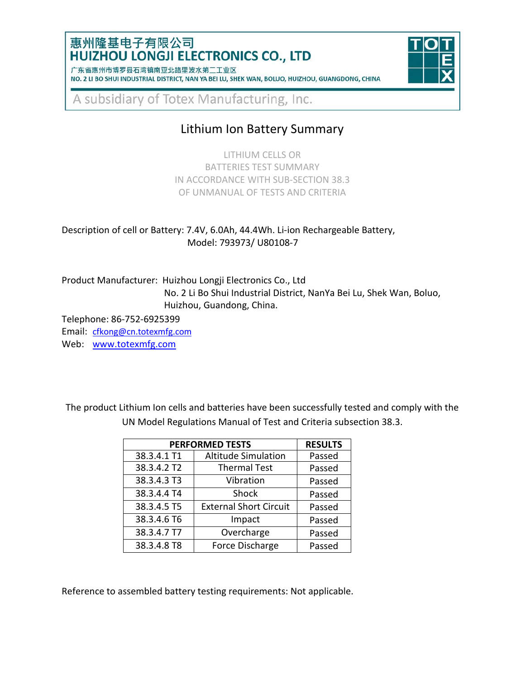### 惠州隆基电子有限公司 **HUIZHOU LONGJI ELECTRONICS CO., LTD**

| 1 朱省惠州市博岁县石湾镇南业北路里波水弟二上业区 |                                                                                                 |  |  |  |  |  |  |
|---------------------------|-------------------------------------------------------------------------------------------------|--|--|--|--|--|--|
|                           | NO. 2 LI BO SHUI INDUSTRIAL DISTRICT, NAN YA BEI LU, SHEK WAN, BOLUO, HUIZHOU, GUANGDONG, CHINA |  |  |  |  |  |  |



A subsidiary of Totex Manufacturing, Inc.

# Lithium Ion Battery Summary

LITHIUM CELLS OR BATTERIES TEST SUMMARY IN ACCORDANCE WITH SUB-SECTION 38.3 OF UNMANUAL OF TESTS AND CRITERIA

Description of cell or Battery: 7.4V, 6.0Ah, 44.4Wh. Li-ion Rechargeable Battery, Model: 793973/ U80108-7

Product Manufacturer: Huizhou Longji Electronics Co., Ltd No. 2 Li Bo Shui Industrial District, NanYa Bei Lu, Shek Wan, Boluo, Huizhou, Guandong, China.

Telephone: 86-752-6925399

Email: [cfkong@cn.totexmfg.com](mailto:cfkong@cn.totexmfg.com) Web: [www.totexmfg.com](http://www.totexmfg.com/)

The product Lithium Ion cells and batteries have been successfully tested and comply with the UN Model Regulations Manual of Test and Criteria subsection 38.3.

| <b>PERFORMED TESTS</b> | <b>RESULTS</b>                |        |
|------------------------|-------------------------------|--------|
| 38.3.4.1 T1            | <b>Altitude Simulation</b>    | Passed |
| 38.3.4.2 T2            | <b>Thermal Test</b>           | Passed |
| 38.3.4.3 T3            | Vibration                     | Passed |
| 38.3.4.4 T4            | Shock                         | Passed |
| 38.3.4.5 T5            | <b>External Short Circuit</b> | Passed |
| 38.3.4.6 T6            | Impact                        | Passed |
| 38.3.4.7 T7            | Overcharge                    | Passed |
| 38.3.4.8 T8            | Force Discharge               | Passed |

Reference to assembled battery testing requirements: Not applicable.